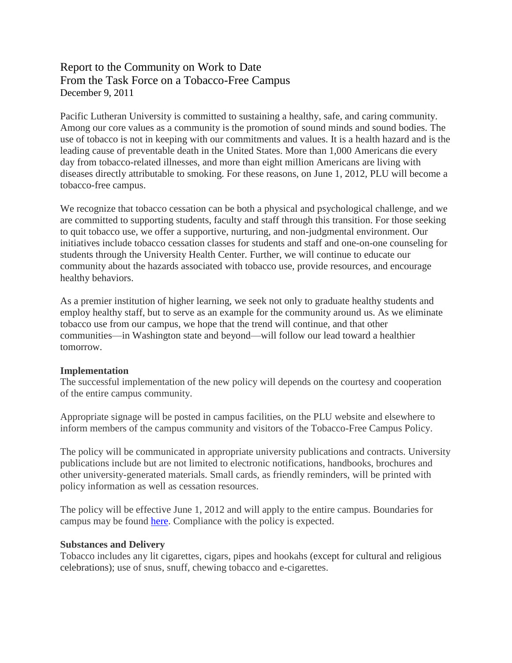# Report to the Community on Work to Date From the Task Force on a Tobacco-Free Campus December 9, 2011

Pacific Lutheran University is committed to sustaining a healthy, safe, and caring community. Among our core values as a community is the promotion of sound minds and sound bodies. The use of tobacco is not in keeping with our commitments and values. It is a health hazard and is the leading cause of preventable death in the United States. More than 1,000 Americans die every day from tobacco-related illnesses, and more than eight million Americans are living with diseases directly attributable to smoking. For these reasons, on June 1, 2012, PLU will become a tobacco-free campus.

We recognize that tobacco cessation can be both a physical and psychological challenge, and we are committed to supporting students, faculty and staff through this transition. For those seeking to quit tobacco use, we offer a supportive, nurturing, and non-judgmental environment. Our initiatives include tobacco cessation classes for students and staff and one-on-one counseling for students through the University Health Center. Further, we will continue to educate our community about the hazards associated with tobacco use, provide resources, and encourage healthy behaviors.

As a premier institution of higher learning, we seek not only to graduate healthy students and employ healthy staff, but to serve as an example for the community around us. As we eliminate tobacco use from our campus, we hope that the trend will continue, and that other communities—in Washington state and beyond—will follow our lead toward a healthier tomorrow.

#### **Implementation**

The successful implementation of the new policy will depends on the courtesy and cooperation of the entire campus community.

Appropriate signage will be posted in campus facilities, on the PLU website and elsewhere to inform members of the campus community and visitors of the Tobacco-Free Campus Policy.

The policy will be communicated in appropriate university publications and contracts. University publications include but are not limited to electronic notifications, handbooks, brochures and other university-generated materials. Small cards, as friendly reminders, will be printed with policy information as well as cessation resources.

The policy will be effective June 1, 2012 and will apply to the entire campus. Boundaries for campus may be found [here.](http://www.plu.edu/tobacco-free/misc/tobacco-free-boundary-map.pdf) Compliance with the policy is expected.

#### **Substances and Delivery**

Tobacco includes any lit cigarettes, cigars, pipes and hookahs (except for cultural and religious celebrations); use of snus, snuff, chewing tobacco and e-cigarettes.